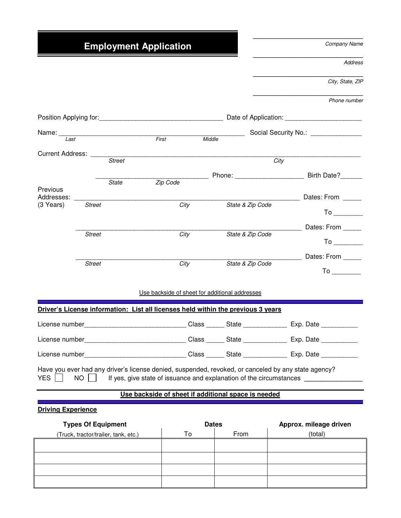# **Employment Application**

Company Name

 $\frac{1}{2}$  , and the set of the set of the set of the set of the set of the set of the set of the set of the set of the set of the set of the set of the set of the set of the set of the set of the set of the set of the set

 $\frac{1}{2}$  , and the set of the set of the set of the set of the set of the set of the set of the set of the set of the set of the set of the set of the set of the set of the set of the set of the set of the set of the set

\_\_\_\_\_\_\_\_\_\_\_\_\_\_\_\_\_\_\_\_\_\_\_\_

Address

City, State, ZIP

| Phone number |
|--------------|

| Position Applying for: example and the contract of Application: example and the contract of Application: |               |              |                                                |        |                                                                                                     |                                                                                                                                                                                                                                |
|----------------------------------------------------------------------------------------------------------|---------------|--------------|------------------------------------------------|--------|-----------------------------------------------------------------------------------------------------|--------------------------------------------------------------------------------------------------------------------------------------------------------------------------------------------------------------------------------|
| Name:                                                                                                    |               |              |                                                |        |                                                                                                     | Social Security No.: Social Security No.:                                                                                                                                                                                      |
| $l$ ast                                                                                                  |               |              | First                                          | Middle |                                                                                                     |                                                                                                                                                                                                                                |
| Current Address: _____                                                                                   |               | Street       |                                                |        | City                                                                                                |                                                                                                                                                                                                                                |
|                                                                                                          |               |              |                                                |        |                                                                                                     | Example 2014 Phone: National Phone: National Phone 2014 Phone 2014 Phone 2014 Phone 2014 Phone 2014 Phone 2014                                                                                                                 |
| Previous                                                                                                 |               | <b>State</b> | Zip Code                                       |        |                                                                                                     |                                                                                                                                                                                                                                |
| Addresses:                                                                                               |               |              |                                                |        |                                                                                                     | Dates: From                                                                                                                                                                                                                    |
| (3 Years)                                                                                                | <b>Street</b> |              |                                                | City   | State & Zip Code                                                                                    | To the control of the control of the control of the control of the control of the control of the control of the control of the control of the control of the control of the control of the control of the control of the contr |
|                                                                                                          |               |              |                                                |        |                                                                                                     | Dates: From                                                                                                                                                                                                                    |
|                                                                                                          | <b>Street</b> |              |                                                | City   | State & Zip Code                                                                                    | $To \fbox{$                                                                                                                                                                                                                    |
|                                                                                                          |               |              |                                                |        |                                                                                                     | Dates: From _____                                                                                                                                                                                                              |
|                                                                                                          | <b>Street</b> |              |                                                | City   | State & Zip Code                                                                                    |                                                                                                                                                                                                                                |
|                                                                                                          |               |              | Use backside of sheet for additional addresses |        |                                                                                                     |                                                                                                                                                                                                                                |
|                                                                                                          |               |              |                                                |        | Driver's License information: List all licenses held within the previous 3 years                    |                                                                                                                                                                                                                                |
|                                                                                                          |               |              |                                                |        |                                                                                                     | License number_______________________________Class _______State ________________ Exp. Date ______________                                                                                                                      |
|                                                                                                          |               |              |                                                |        |                                                                                                     | License number_______________________________Class _______State ________________ Exp. Date ______________                                                                                                                      |
|                                                                                                          |               |              |                                                |        |                                                                                                     | License number_______________________________Class _______State ________________ Exp. Date ______________                                                                                                                      |
| <b>YES</b>                                                                                               | <b>NO</b>     |              |                                                |        | Have you ever had any driver's license denied, suspended, revoked, or canceled by any state agency? | If yes, give state of issuance and explanation of the circumstances ______________                                                                                                                                             |

### **Use backside of sheet if additional space is needed**

# **Driving Experience**

| <b>Types Of Equipment</b>            | <b>Dates</b> |      | Approx. mileage driven |
|--------------------------------------|--------------|------|------------------------|
| (Truck, tractor/trailer, tank, etc.) | Т٥           | From | (total)                |
|                                      |              |      |                        |
|                                      |              |      |                        |
|                                      |              |      |                        |
|                                      |              |      |                        |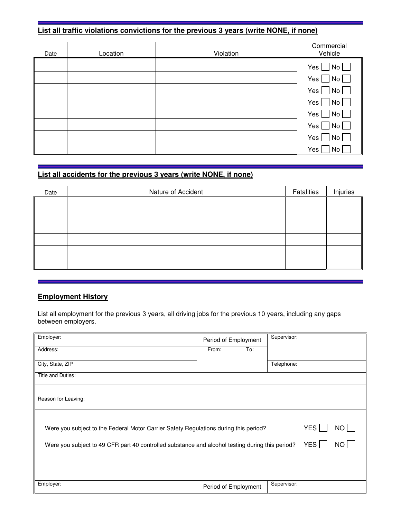# **List all traffic violations convictions for the previous 3 years (write NONE, if none)**

| Date | Location | Violation | Commercial<br>Vehicle                                              |
|------|----------|-----------|--------------------------------------------------------------------|
|      |          |           | Yes $\Box$ No $\Box$                                               |
|      |          |           | $Yes \Box No \Box$                                                 |
|      |          |           | Yes $\Box$ No $\Box$                                               |
|      |          |           | Yes $\Box$ No $\Box$                                               |
|      |          |           | Yes $\Box$ No $\Box$                                               |
|      |          |           | No <sub>l</sub><br>Yes $\Box$                                      |
|      |          |           | Yes $\Box$<br>$\overline{\phantom{0}}$ No $\overline{\phantom{0}}$ |
|      |          |           | Yes  <br>No                                                        |

# **List all accidents for the previous 3 years (write NONE, if none)**

| Date | Nature of Accident | Fatalities | Injuries |
|------|--------------------|------------|----------|
|      |                    |            |          |
|      |                    |            |          |
|      |                    |            |          |
|      |                    |            |          |
|      |                    |            |          |
|      |                    |            |          |

### **Employment History**

List all employment for the previous 3 years, all driving jobs for the previous 10 years, including any gaps between employers.

| Employer:                                                                                              | Period of Employment |                      | Supervisor: |                  |      |
|--------------------------------------------------------------------------------------------------------|----------------------|----------------------|-------------|------------------|------|
| Address:                                                                                               | From:                | To:                  |             |                  |      |
| City, State, ZIP                                                                                       |                      |                      | Telephone:  |                  |      |
| Title and Duties:                                                                                      |                      |                      |             |                  |      |
|                                                                                                        |                      |                      |             |                  |      |
| Reason for Leaving:                                                                                    |                      |                      |             |                  |      |
|                                                                                                        |                      |                      |             |                  |      |
| Were you subject to the Federal Motor Carrier Safety Regulations during this period?                   |                      |                      |             | YES <sup>I</sup> | NO L |
| YES<br>Were you subject to 49 CFR part 40 controlled substance and alcohol testing during this period? |                      |                      |             |                  | NO I |
|                                                                                                        |                      |                      |             |                  |      |
|                                                                                                        |                      |                      |             |                  |      |
| Employer:                                                                                              |                      | Period of Employment | Supervisor: |                  |      |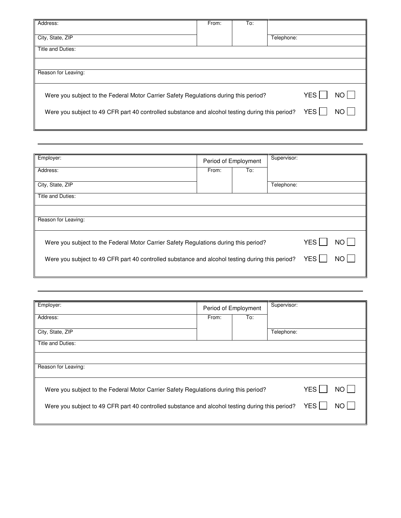| Address:                                                                                        | From: | To: |            |     |      |
|-------------------------------------------------------------------------------------------------|-------|-----|------------|-----|------|
| City, State, ZIP                                                                                |       |     | Telephone: |     |      |
| Title and Duties:                                                                               |       |     |            |     |      |
|                                                                                                 |       |     |            |     |      |
| Reason for Leaving:                                                                             |       |     |            |     |      |
| Were you subject to the Federal Motor Carrier Safety Regulations during this period?            |       |     |            | YES | NO L |
| Were you subject to 49 CFR part 40 controlled substance and alcohol testing during this period? |       |     |            | YES | NO L |
|                                                                                                 |       |     |            |     |      |

| Employer:                                                                                       | Period of Employment |     | Supervisor: |                  |      |
|-------------------------------------------------------------------------------------------------|----------------------|-----|-------------|------------------|------|
| Address:                                                                                        | From:                | To: |             |                  |      |
| City, State, ZIP                                                                                |                      |     | Telephone:  |                  |      |
| Title and Duties:                                                                               |                      |     |             |                  |      |
|                                                                                                 |                      |     |             |                  |      |
| Reason for Leaving:                                                                             |                      |     |             |                  |      |
| Were you subject to the Federal Motor Carrier Safety Regulations during this period?            |                      |     |             | YES <sup>I</sup> | NO L |
| Were you subject to 49 CFR part 40 controlled substance and alcohol testing during this period? |                      |     |             | YES              | NO.  |
|                                                                                                 |                      |     |             |                  |      |

| Employer:                                                                                                      |       | Period of Employment | Supervisor: |  |  |  |
|----------------------------------------------------------------------------------------------------------------|-------|----------------------|-------------|--|--|--|
| Address:                                                                                                       | From: | To:                  |             |  |  |  |
| City, State, ZIP                                                                                               |       |                      | Telephone:  |  |  |  |
| Title and Duties:                                                                                              |       |                      |             |  |  |  |
|                                                                                                                |       |                      |             |  |  |  |
| Reason for Leaving:                                                                                            |       |                      |             |  |  |  |
| <b>YES</b><br>Were you subject to the Federal Motor Carrier Safety Regulations during this period?<br>NO.      |       |                      |             |  |  |  |
| YES  <br>Were you subject to 49 CFR part 40 controlled substance and alcohol testing during this period?<br>NΟ |       |                      |             |  |  |  |
|                                                                                                                |       |                      |             |  |  |  |